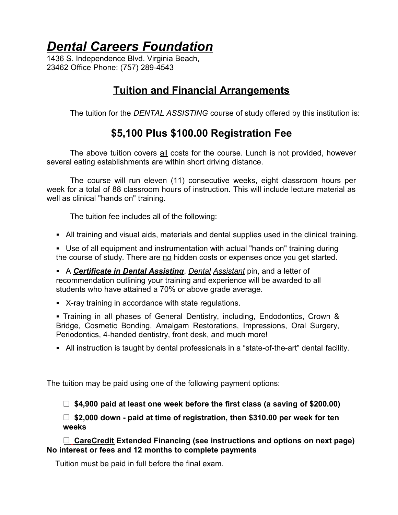# *Dental Careers Foundation*

1436 S. Independence Blvd. Virginia Beach, 23462 Office Phone: (757) 289-4543

### **Tuition and Financial Arrangements**

The tuition for the *DENTAL ASSISTING* course of study offered by this institution is:

### **\$5,100 Plus \$100.00 Registration Fee**

The above tuition covers all costs for the course. Lunch is not provided, however several eating establishments are within short driving distance.

The course will run eleven (11) consecutive weeks, eight classroom hours per week for a total of 88 classroom hours of instruction. This will include lecture material as well as clinical "hands on" training.

The tuition fee includes all of the following:

• All training and visual aids, materials and dental supplies used in the clinical training.

■ Use of all equipment and instrumentation with actual "hands on" training during the course of study. There are no hidden costs or expenses once you get started.

§ A *Certificate in Dental Assisting*, *Dental Assistant* pin, and a letter of recommendation outlining your training and experience will be awarded to all students who have attained a 70% or above grade average.

• X-ray training in accordance with state regulations.

§ Training in all phases of General Dentistry, including, Endodontics, Crown & Bridge, Cosmetic Bonding, Amalgam Restorations, Impressions, Oral Surgery, Periodontics, 4-handed dentistry, front desk, and much more!

• All instruction is taught by dental professionals in a "state-of-the-art" dental facility.

The tuition may be paid using one of the following payment options:

**☐ \$4,900 paid at least one week before the first class (a saving of \$200.00)**

**☐ \$2,000 down - paid at time of registration, then \$310.00 per week for ten weeks**

**☐ CareCredit Extended Financing (see instructions and options on next page) No interest or fees and 12 months to complete payments**

Tuition must be paid in full before the final exam.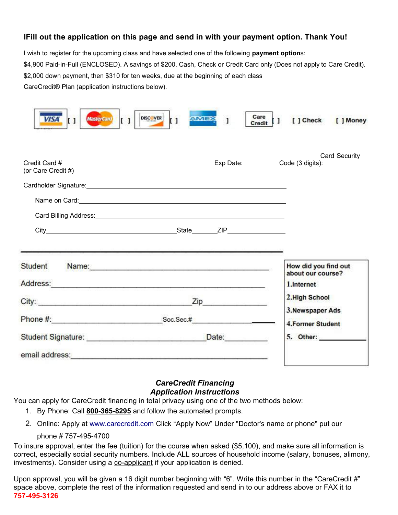#### **lFill out the application on this page and send in with your payment option. Thank You!**

I wish to register for the upcoming class and have selected one of the following **payment option**s: \$4,900 Paid-in-Full (ENCLOSED). A savings of \$200. Cash, Check or Credit Card only (Does not apply to Care Credit). \$2,000 down payment, then \$310 for ten weeks, due at the beginning of each class CareCredit® Plan (application instructions below).

| <b>MasterCard</b><br><b>VISA</b><br>$\mathbf{I}$ | Care<br>DISCOVER<br><b>AMEX</b><br>$\mathbf{L}$<br>$\begin{bmatrix} 1 \end{bmatrix}$<br>Credit   ]                                                                                                                             | [ ] Check<br>[ ] Money                                  |
|--------------------------------------------------|--------------------------------------------------------------------------------------------------------------------------------------------------------------------------------------------------------------------------------|---------------------------------------------------------|
| Credit Card #<br>(or Care Credit #)              |                                                                                                                                                                                                                                | <b>Card Security</b>                                    |
|                                                  |                                                                                                                                                                                                                                |                                                         |
| Student                                          | Name: Name:                                                                                                                                                                                                                    | How did you find out<br>about our course?<br>1.Internet |
|                                                  | City: <u>Zip Zip</u>                                                                                                                                                                                                           | 2. High School                                          |
|                                                  | Soc.Sec.#                                                                                                                                                                                                                      | 3. Newspaper Ads<br>4. Former Student                   |
|                                                  |                                                                                                                                                                                                                                |                                                         |
|                                                  | email address: etc. and a strategy and a strategy of the strategy of the strategy of the strategy of the strategy of the strategy of the strategy of the strategy of the strategy of the strategy of the strategy of the strat |                                                         |

#### *CareCredit Financing Application Instructions*

You can apply for CareCredit financing in total privacy using one of the two methods below:

- 1. By Phone: Call **800-365-8295** and follow the automated prompts.
- 2. Online: Apply at www.carecredit.com Click "Apply Now" Under "Doctor's name or phone" put our

#### phone # 757-495-4700

To insure approval, enter the fee (tuition) for the course when asked (\$5,100), and make sure all information is correct, especially social security numbers. Include ALL sources of household income (salary, bonuses, alimony, investments). Consider using a co-applicant if your application is denied.

Upon approval, you will be given a 16 digit number beginning with "6". Write this number in the "CareCredit #" space above, complete the rest of the information requested and send in to our address above or FAX it to **757-495-3126**